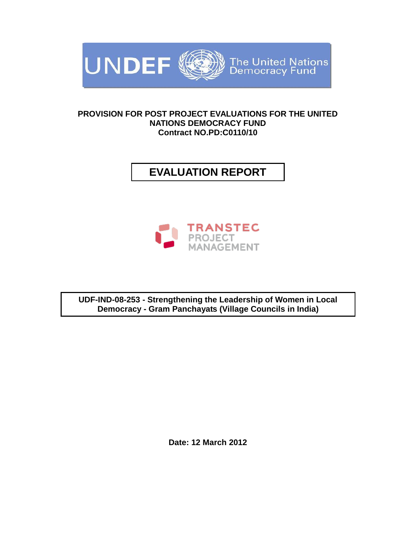

## **PROVISION FOR POST PROJECT EVALUATIONS FOR THE UNITED NATIONS DEMOCRACY FUND Contract NO.PD:C0110/10**

# **EVALUATION REPORT**



**UDF-IND-08-253 - Strengthening the Leadership of Women in Local Democracy - Gram Panchayats (Village Councils in India)**

**Date: 12 March 2012**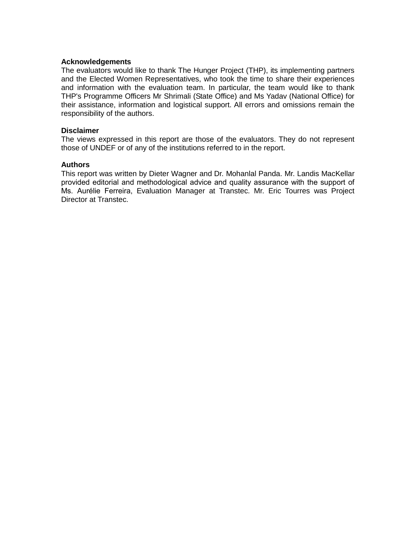### **Acknowledgements**

The evaluators would like to thank The Hunger Project (THP), its implementing partners and the Elected Women Representatives, who took the time to share their experiences and information with the evaluation team. In particular, the team would like to thank THP's Programme Officers Mr Shrimali (State Office) and Ms Yadav (National Office) for their assistance, information and logistical support. All errors and omissions remain the responsibility of the authors.

#### **Disclaimer**

The views expressed in this report are those of the evaluators. They do not represent those of UNDEF or of any of the institutions referred to in the report.

### **Authors**

This report was written by Dieter Wagner and Dr. Mohanlal Panda. Mr. Landis MacKellar provided editorial and methodological advice and quality assurance with the support of Ms. Aurélie Ferreira, Evaluation Manager at Transtec. Mr. Eric Tourres was Project Director at Transtec.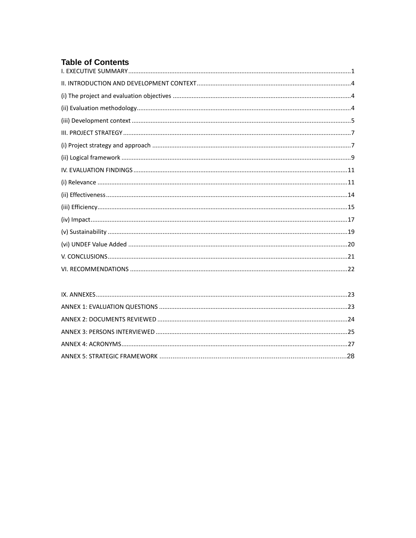## **Table of Contents**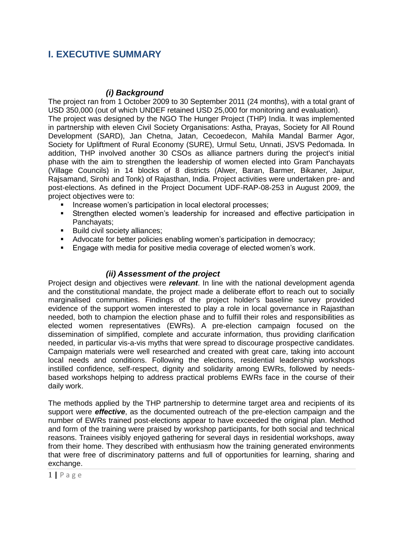## **I. EXECUTIVE SUMMARY**

## *(i) Background*

The project ran from 1 October 2009 to 30 September 2011 (24 months), with a total grant of USD 350,000 (out of which UNDEF retained USD 25,000 for monitoring and evaluation). The project was designed by the NGO The Hunger Project (THP) India. It was implemented

in partnership with eleven Civil Society Organisations: Astha, Prayas, Society for All Round Development (SARD), Jan Chetna, Jatan, Cecoedecon, Mahila Mandal Barmer Agor, Society for Upliftment of Rural Economy (SURE), Urmul Setu, Unnati, JSVS Pedomada. In addition, THP involved another 30 CSOs as alliance partners during the project's initial phase with the aim to strengthen the leadership of women elected into Gram Panchayats (Village Councils) in 14 blocks of 8 districts (Alwer, Baran, Barmer, Bikaner, Jaipur, Rajsamand, Sirohi and Tonk) of Rajasthan, India. Project activities were undertaken pre- and post-elections. As defined in the Project Document UDF-RAP-08-253 in August 2009, the project objectives were to:

- Increase women's participation in local electoral processes;
- Strengthen elected women's leadership for increased and effective participation in Panchayats;
- **Build civil society alliances;**
- Advocate for better policies enabling women's participation in democracy;
- Engage with media for positive media coverage of elected women's work.

## *(ii) Assessment of the project*

Project design and objectives were *relevant*. In line with the national development agenda and the constitutional mandate, the project made a deliberate effort to reach out to socially marginalised communities. Findings of the project holder's baseline survey provided evidence of the support women interested to play a role in local governance in Rajasthan needed, both to champion the election phase and to fulfill their roles and responsibilities as elected women representatives (EWRs). A pre-election campaign focused on the dissemination of simplified, complete and accurate information, thus providing clarification needed, in particular vis-a-vis myths that were spread to discourage prospective candidates. Campaign materials were well researched and created with great care, taking into account local needs and conditions. Following the elections, residential leadership workshops instilled confidence, self-respect, dignity and solidarity among EWRs, followed by needsbased workshops helping to address practical problems EWRs face in the course of their daily work.

The methods applied by the THP partnership to determine target area and recipients of its support were *effective*, as the documented outreach of the pre-election campaign and the number of EWRs trained post-elections appear to have exceeded the original plan. Method and form of the training were praised by workshop participants, for both social and technical reasons. Trainees visibly enjoyed gathering for several days in residential workshops, away from their home. They described with enthusiasm how the training generated environments that were free of discriminatory patterns and full of opportunities for learning, sharing and exchange.

<sup>1</sup> **|** P a g e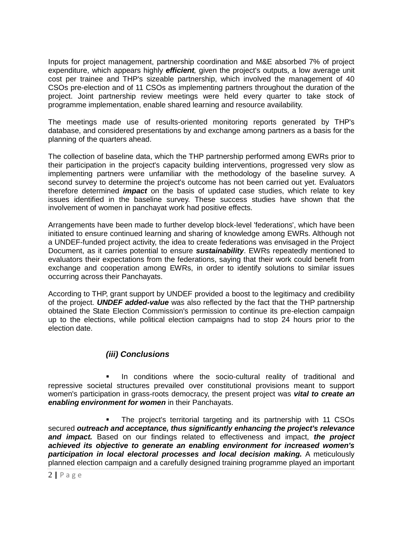Inputs for project management, partnership coordination and M&E absorbed 7% of project expenditure, which appears highly *efficient,* given the project's outputs, a low average unit cost per trainee and THP's sizeable partnership, which involved the management of 40 CSOs pre-election and of 11 CSOs as implementing partners throughout the duration of the project. Joint partnership review meetings were held every quarter to take stock of programme implementation, enable shared learning and resource availability.

The meetings made use of results-oriented monitoring reports generated by THP's database, and considered presentations by and exchange among partners as a basis for the planning of the quarters ahead.

The collection of baseline data, which the THP partnership performed among EWRs prior to their participation in the project's capacity building interventions, progressed very slow as implementing partners were unfamiliar with the methodology of the baseline survey. A second survey to determine the project's outcome has not been carried out yet. Evaluators therefore determined *impact* on the basis of updated case studies, which relate to key issues identified in the baseline survey. These success studies have shown that the involvement of women in panchayat work had positive effects.

Arrangements have been made to further develop block-level 'federations', which have been initiated to ensure continued learning and sharing of knowledge among EWRs. Although not a UNDEF-funded project activity, the idea to create federations was envisaged in the Project Document, as it carries potential to ensure *sustainability*. EWRs repeatedly mentioned to evaluators their expectations from the federations, saying that their work could benefit from exchange and cooperation among EWRs, in order to identify solutions to similar issues occurring across their Panchayats.

According to THP, grant support by UNDEF provided a boost to the legitimacy and credibility of the project. *UNDEF added-value* was also reflected by the fact that the THP partnership obtained the State Election Commission's permission to continue its pre-election campaign up to the elections, while political election campaigns had to stop 24 hours prior to the election date.

## *(iii) Conclusions*

 In conditions where the socio-cultural reality of traditional and repressive societal structures prevailed over constitutional provisions meant to support women's participation in grass-roots democracy, the present project was *vital to create an enabling environment for women* in their Panchayats.

 The project's territorial targeting and its partnership with 11 CSOs secured *outreach and acceptance, thus significantly enhancing the project's relevance and impact.* Based on our findings related to effectiveness and impact, *the project achieved its objective to generate an enabling environment for increased women's participation in local electoral processes and local decision making.* A meticulously planned election campaign and a carefully designed training programme played an important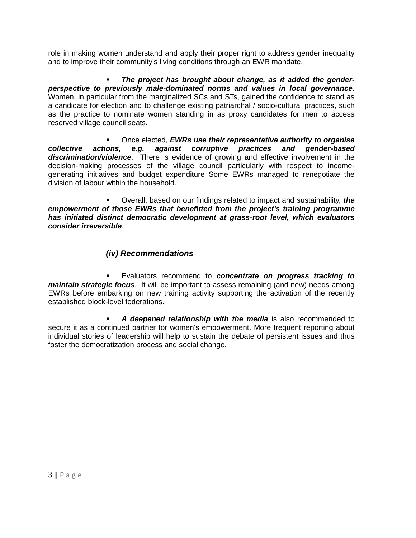role in making women understand and apply their proper right to address gender inequality and to improve their community's living conditions through an EWR mandate.

 *The project has brought about change, as it added the genderperspective to previously male-dominated norms and values in local governance.*  Women, in particular from the marginalized SCs and STs, gained the confidence to stand as a candidate for election and to challenge existing patriarchal / socio-cultural practices, such as the practice to nominate women standing in as proxy candidates for men to access reserved village council seats.

 Once elected, *EWRs use their representative authority to organise collective actions, e.g. against corruptive practices and gender-based discrimination/violence*. There is evidence of growing and effective involvement in the decision-making processes of the village council particularly with respect to incomegenerating initiatives and budget expenditure Some EWRs managed to renegotiate the division of labour within the household.

 Overall, based on our findings related to impact and sustainability, *the empowerment of those EWRs that benefitted from the project's training programme has initiated distinct democratic development at grass-root level, which evaluators consider irreversible*.

## *(iv) Recommendations*

 Evaluators recommend to *concentrate on progress tracking to maintain strategic focus*. It will be important to assess remaining (and new) needs among EWRs before embarking on new training activity supporting the activation of the recently established block-level federations.

 *A deepened relationship with the media* is also recommended to secure it as a continued partner for women's empowerment. More frequent reporting about individual stories of leadership will help to sustain the debate of persistent issues and thus foster the democratization process and social change.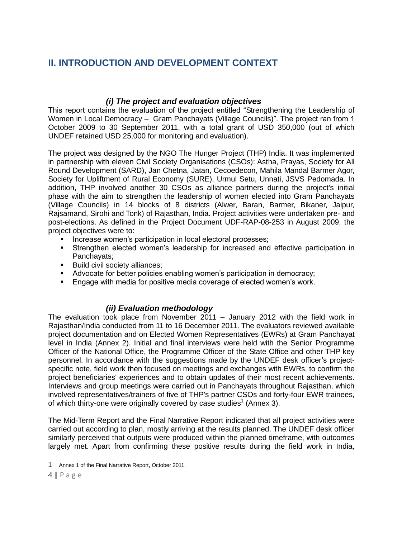## **II. INTRODUCTION AND DEVELOPMENT CONTEXT**

## *(i) The project and evaluation objectives*

This report contains the evaluation of the project entitled "Strengthening the Leadership of Women in Local Democracy - Gram Panchayats (Village Councils)". The project ran from 1 October 2009 to 30 September 2011, with a total grant of USD 350,000 (out of which UNDEF retained USD 25,000 for monitoring and evaluation).

The project was designed by the NGO The Hunger Project (THP) India. It was implemented in partnership with eleven Civil Society Organisations (CSOs): Astha, Prayas, Society for All Round Development (SARD), Jan Chetna, Jatan, Cecoedecon, Mahila Mandal Barmer Agor, Society for Upliftment of Rural Economy (SURE), Urmul Setu, Unnati, JSVS Pedomada. In addition, THP involved another 30 CSOs as alliance partners during the project's initial phase with the aim to strengthen the leadership of women elected into Gram Panchayats (Village Councils) in 14 blocks of 8 districts (Alwer, Baran, Barmer, Bikaner, Jaipur, Rajsamand, Sirohi and Tonk) of Rajasthan, India. Project activities were undertaken pre- and post-elections. As defined in the Project Document UDF-RAP-08-253 in August 2009, the project objectives were to:

- Increase women's participation in local electoral processes;
- Strengthen elected women's leadership for increased and effective participation in Panchayats;
- Build civil society alliances;
- Advocate for better policies enabling women's participation in democracy;
- **Engage with media for positive media coverage of elected women's work.**

## *(ii) Evaluation methodology*

The evaluation took place from November 2011 – January 2012 with the field work in Rajasthan/India conducted from 11 to 16 December 2011. The evaluators reviewed available project documentation and on Elected Women Representatives (EWRs) at Gram Panchayat level in India (Annex 2). Initial and final interviews were held with the Senior Programme Officer of the National Office, the Programme Officer of the State Office and other THP key personnel. In accordance with the suggestions made by the UNDEF desk officer's projectspecific note, field work then focused on meetings and exchanges with EWRs, to confirm the project beneficiaries' experiences and to obtain updates of their most recent achievements. Interviews and group meetings were carried out in Panchayats throughout Rajasthan, which involved representatives/trainers of five of THP's partner CSOs and forty-four EWR trainees, of which thirty-one were originally covered by case studies<sup>1</sup> (Annex 3).

The Mid-Term Report and the Final Narrative Report indicated that all project activities were carried out according to plan, mostly arriving at the results planned. The UNDEF desk officer similarly perceived that outputs were produced within the planned timeframe, with outcomes largely met. Apart from confirming these positive results during the field work in India,

<sup>1</sup> Annex 1 of the Final Narrative Report, October 2011.

<sup>4</sup> **|** P a g e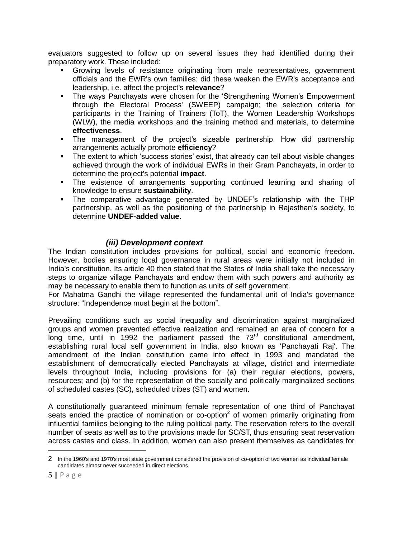evaluators suggested to follow up on several issues they had identified during their preparatory work. These included:

- Growing levels of resistance originating from male representatives, government officials and the EWR's own families: did these weaken the EWR's acceptance and leadership, i.e. affect the project's **relevance**?
- The ways Panchayats were chosen for the 'Strengthening Women's Empowerment through the Electoral Process' (SWEEP) campaign; the selection criteria for participants in the Training of Trainers (ToT), the Women Leadership Workshops (WLW), the media workshops and the training method and materials, to determine **effectiveness**.
- The management of the project's sizeable partnership. How did partnership arrangements actually promote **efficiency**?
- The extent to which 'success stories' exist, that already can tell about visible changes achieved through the work of individual EWRs in their Gram Panchayats, in order to determine the project's potential **impact**.
- The existence of arrangements supporting continued learning and sharing of knowledge to ensure **sustainability**.
- The comparative advantage generated by UNDEF's relationship with the THP partnership, as well as the positioning of the partnership in Rajasthan's society, to determine **UNDEF-added value**.

## *(iii) Development context*

The Indian constitution includes provisions for political, social and economic freedom. However, bodies ensuring local governance in rural areas were initially not included in India's constitution. Its article 40 then stated that the States of India shall take the necessary steps to organize village Panchayats and endow them with such powers and authority as may be necessary to enable them to function as units of self government.

For Mahatma Gandhi the village represented the fundamental unit of India's governance structure: "Independence must begin at the bottom".

Prevailing conditions such as social inequality and discrimination against marginalized groups and women prevented effective realization and remained an area of concern for a long time, until in 1992 the parliament passed the  $73<sup>rd</sup>$  constitutional amendment, establishing rural local self government in India, also known as 'Panchayati Raj'. The amendment of the Indian constitution came into effect in 1993 and mandated the establishment of democratically elected Panchayats at village, district and intermediate levels throughout India, including provisions for (a) their regular elections, powers, resources; and (b) for the representation of the socially and politically marginalized sections of scheduled castes (SC), scheduled tribes (ST) and women.

A constitutionally guaranteed minimum female representation of one third of Panchayat seats ended the practice of nomination or co-option<sup>2</sup> of women primarily originating from influential families belonging to the ruling political party. The reservation refers to the overall number of seats as well as to the provisions made for SC/ST, thus ensuring seat reservation across castes and class. In addition, women can also present themselves as candidates for

<sup>2</sup> In the 1960's and 1970's most state government considered the provision of co-option of two women as individual female candidates almost never succeeded in direct elections.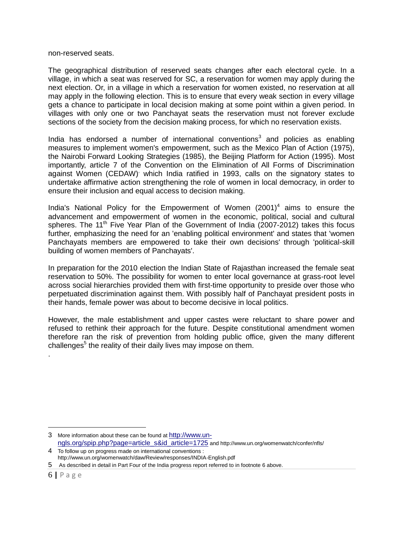non-reserved seats.

The geographical distribution of reserved seats changes after each electoral cycle. In a village, in which a seat was reserved for SC, a reservation for women may apply during the next election. Or, in a village in which a reservation for women existed, no reservation at all may apply in the following election. This is to ensure that every weak section in every village gets a chance to participate in local decision making at some point within a given period. In villages with only one or two Panchayat seats the reservation must not forever exclude sections of the society from the decision making process, for which no reservation exists.

India has endorsed a number of international conventions<sup>3</sup> and policies as enabling measures to implement women's empowerment, such as the Mexico Plan of Action (1975), the Nairobi Forward Looking Strategies (1985), the Beijing Platform for Action (1995). Most importantly, article 7 of the Convention on the Elimination of All Forms of Discrimination against Women (CEDAW) which India ratified in 1993, calls on the signatory states to undertake affirmative action strengthening the role of women in local democracy, in order to ensure their inclusion and equal access to decision making.

India's National Policy for the Empowerment of Women  $(2001)^4$  aims to ensure the advancement and empowerment of women in the economic, political, social and cultural spheres. The 11<sup>th</sup> Five Year Plan of the Government of India (2007-2012) takes this focus further, emphasizing the need for an 'enabling political environment' and states that 'women Panchayats members are empowered to take their own decisions' through 'political-skill building of women members of Panchayats'.

In preparation for the 2010 election the Indian State of Rajasthan increased the female seat reservation to 50%. The possibility for women to enter local governance at grass-root level across social hierarchies provided them with first-time opportunity to preside over those who perpetuated discrimination against them. With possibly half of Panchayat president posts in their hands, female power was about to become decisive in local politics.

However, the male establishment and upper castes were reluctant to share power and refused to rethink their approach for the future. Despite constitutional amendment women therefore ran the risk of prevention from holding public office, given the many different challenges<sup>5</sup> the reality of their daily lives may impose on them.

4 To follow up on progress made on international conventions : http://www.un.org/womenwatch/daw/Review/responses/INDIA-English.pdf

.

<sup>3</sup> More information about these can be found at [http://www.un](http://www.un-ngls.org/spip.php?page=article_s&id_article=1725)[ngls.org/spip.php?page=article\\_s&id\\_article=1725](http://www.un-ngls.org/spip.php?page=article_s&id_article=1725) and http://www.un.org/womenwatch/confer/nfls/

<sup>5</sup> As described in detail in Part Four of the India progress report referred to in footnote 6 above.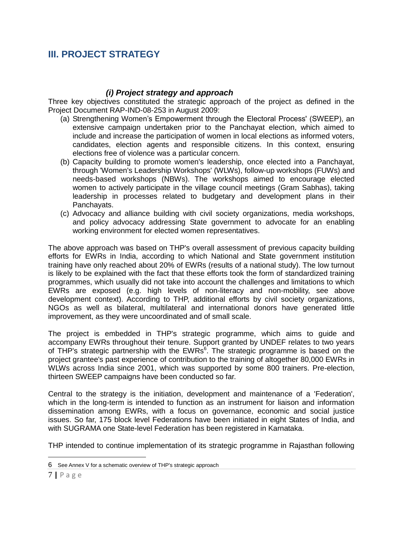## **III. PROJECT STRATEGY**

## *(i) Project strategy and approach*

Three key objectives constituted the strategic approach of the project as defined in the Project Document RAP-IND-08-253 in August 2009:

- (a) Strengthening Women's Empowerment through the Electoral Process' (SWEEP), an extensive campaign undertaken prior to the Panchayat election, which aimed to include and increase the participation of women in local elections as informed voters, candidates, election agents and responsible citizens. In this context, ensuring elections free of violence was a particular concern.
- (b) Capacity building to promote women's leadership, once elected into a Panchayat, through 'Women's Leadership Workshops' (WLWs), follow-up workshops (FUWs) and needs-based workshops (NBWs). The workshops aimed to encourage elected women to actively participate in the village council meetings (Gram Sabhas), taking leadership in processes related to budgetary and development plans in their Panchayats.
- (c) Advocacy and alliance building with civil society organizations, media workshops, and policy advocacy addressing State government to advocate for an enabling working environment for elected women representatives.

The above approach was based on THP's overall assessment of previous capacity building efforts for EWRs in India, according to which National and State government institution training have only reached about 20% of EWRs (results of a national study). The low turnout is likely to be explained with the fact that these efforts took the form of standardized training programmes, which usually did not take into account the challenges and limitations to which EWRs are exposed (e.g. high levels of non-literacy and non-mobility, see above development context). According to THP, additional efforts by civil society organizations, NGOs as well as bilateral, multilateral and international donors have generated little improvement, as they were uncoordinated and of small scale.

The project is embedded in THP's strategic programme, which aims to guide and accompany EWRs throughout their tenure. Support granted by UNDEF relates to two years of THP's strategic partnership with the EWRs<sup>6</sup>. The strategic programme is based on the project grantee's past experience of contribution to the training of altogether 80,000 EWRs in WLWs across India since 2001, which was supported by some 800 trainers. Pre-election, thirteen SWEEP campaigns have been conducted so far.

Central to the strategy is the initiation, development and maintenance of a 'Federation', which in the long-term is intended to function as an instrument for liaison and information dissemination among EWRs, with a focus on governance, economic and social justice issues. So far, 175 block level Federations have been initiated in eight States of India, and with SUGRAMA one State-level Federation has been registered in Karnataka.

THP intended to continue implementation of its strategic programme in Rajasthan following

<sup>6</sup> See Annex V for a schematic overview of THP's strategic approach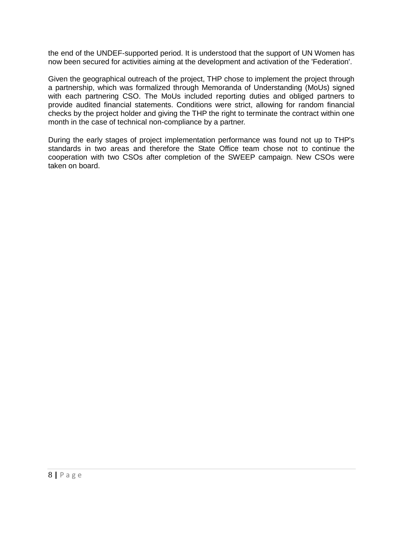the end of the UNDEF-supported period. It is understood that the support of UN Women has now been secured for activities aiming at the development and activation of the 'Federation'.

Given the geographical outreach of the project, THP chose to implement the project through a partnership, which was formalized through Memoranda of Understanding (MoUs) signed with each partnering CSO. The MoUs included reporting duties and obliged partners to provide audited financial statements. Conditions were strict, allowing for random financial checks by the project holder and giving the THP the right to terminate the contract within one month in the case of technical non-compliance by a partner.

During the early stages of project implementation performance was found not up to THP's standards in two areas and therefore the State Office team chose not to continue the cooperation with two CSOs after completion of the SWEEP campaign. New CSOs were taken on board.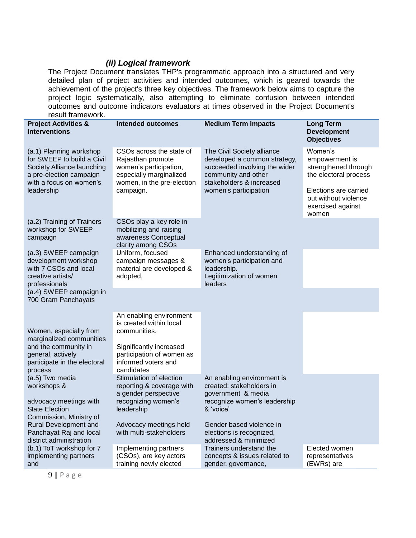## *(ii) Logical framework*

The Project Document translates THP's programmatic approach into a structured and very detailed plan of project activities and intended outcomes, which is geared towards the achievement of the project's three key objectives. The framework below aims to capture the project logic systematically, also attempting to eliminate confusion between intended outcomes and outcome indicators evaluators at times observed in the Project Document's result framework.

| Tesult Hallework.                                                                                                                                       |                                                                                                                                                                 |                                                                                                                                                                         |                                                                                                                                                  |
|---------------------------------------------------------------------------------------------------------------------------------------------------------|-----------------------------------------------------------------------------------------------------------------------------------------------------------------|-------------------------------------------------------------------------------------------------------------------------------------------------------------------------|--------------------------------------------------------------------------------------------------------------------------------------------------|
| <b>Project Activities &amp;</b><br><b>Interventions</b>                                                                                                 | <b>Intended outcomes</b>                                                                                                                                        | <b>Medium Term Impacts</b>                                                                                                                                              | <b>Long Term</b><br><b>Development</b><br><b>Objectives</b>                                                                                      |
| (a.1) Planning workshop<br>for SWEEP to build a Civil<br>Society Alliance launching<br>a pre-election campaign<br>with a focus on women's<br>leadership | CSOs across the state of<br>Rajasthan promote<br>women's participation,<br>especially marginalized<br>women, in the pre-election<br>campaign.                   | The Civil Society alliance<br>developed a common strategy,<br>succeeded involving the wider<br>community and other<br>stakeholders & increased<br>women's participation | Women's<br>empowerment is<br>strengthened through<br>the electoral process<br>Elections are carried<br>out without violence<br>exercised against |
| (a.2) Training of Trainers<br>workshop for SWEEP<br>campaign                                                                                            | CSOs play a key role in<br>mobilizing and raising<br>awareness Conceptual<br>clarity among CSOs                                                                 |                                                                                                                                                                         | women                                                                                                                                            |
| (a.3) SWEEP campaign<br>development workshop<br>with 7 CSOs and local<br>creative artists/<br>professionals                                             | Uniform, focused<br>campaign messages &<br>material are developed &<br>adopted,                                                                                 | Enhanced understanding of<br>women's participation and<br>leadership.<br>Legitimization of women<br>leaders                                                             |                                                                                                                                                  |
| (a.4) SWEEP campaign in<br>700 Gram Panchayats                                                                                                          |                                                                                                                                                                 |                                                                                                                                                                         |                                                                                                                                                  |
| Women, especially from<br>marginalized communities<br>and the community in<br>general, actively<br>participate in the electoral<br>process              | An enabling environment<br>is created within local<br>communities.<br>Significantly increased<br>participation of women as<br>informed voters and<br>candidates |                                                                                                                                                                         |                                                                                                                                                  |
| (a.5) Two media<br>workshops &<br>advocacy meetings with<br><b>State Election</b>                                                                       | Stimulation of election<br>reporting & coverage with<br>a gender perspective<br>recognizing women's<br>leadership                                               | An enabling environment is<br>created: stakeholders in<br>government & media<br>recognize women's leadership<br>& 'voice'                                               |                                                                                                                                                  |
| Commission, Ministry of<br>Rural Development and<br>Panchayat Raj and local<br>district administration                                                  | Advocacy meetings held<br>with multi-stakeholders                                                                                                               | Gender based violence in<br>elections is recognized,<br>addressed & minimized                                                                                           |                                                                                                                                                  |
| (b.1) ToT workshop for 7<br>implementing partners<br>and                                                                                                | Implementing partners<br>(CSOs), are key actors<br>training newly elected                                                                                       | Trainers understand the<br>concepts & issues related to<br>gender, governance,                                                                                          | Elected women<br>representatives<br>(EWRs) are                                                                                                   |

9 **|** P a g e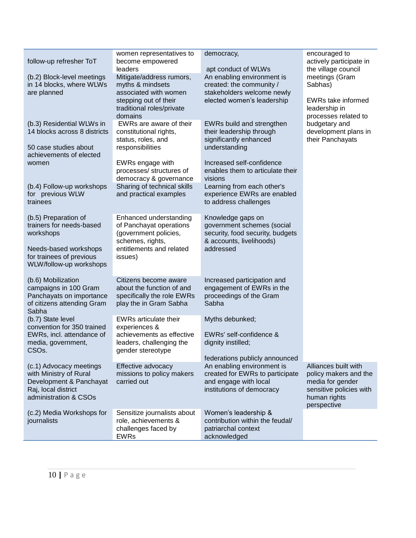| follow-up refresher ToT                                                                                                                       | women representatives to<br>become empowered<br>leaders                                                                                | democracy,<br>apt conduct of WLWs                                                                                            | encouraged to<br>actively participate in<br>the village council                                                             |
|-----------------------------------------------------------------------------------------------------------------------------------------------|----------------------------------------------------------------------------------------------------------------------------------------|------------------------------------------------------------------------------------------------------------------------------|-----------------------------------------------------------------------------------------------------------------------------|
| (b.2) Block-level meetings<br>in 14 blocks, where WLWs<br>are planned                                                                         | Mitigate/address rumors,<br>myths & mindsets<br>associated with women<br>stepping out of their<br>traditional roles/private<br>domains | An enabling environment is<br>created: the community /<br>stakeholders welcome newly<br>elected women's leadership           | meetings (Gram<br>Sabhas)<br>EWRs take informed<br>leadership in<br>processes related to                                    |
| (b.3) Residential WLWs in<br>14 blocks across 8 districts<br>50 case studies about<br>achievements of elected                                 | EWRs are aware of their<br>constitutional rights,<br>status, roles, and<br>responsibilities                                            | EWRs build and strengthen<br>their leadership through<br>significantly enhanced<br>understanding                             | budgetary and<br>development plans in<br>their Panchayats                                                                   |
| women                                                                                                                                         | EWRs engage with<br>processes/ structures of<br>democracy & governance                                                                 | Increased self-confidence<br>enables them to articulate their<br>visions                                                     |                                                                                                                             |
| (b.4) Follow-up workshops<br>for previous WLW<br>trainees                                                                                     | Sharing of technical skills<br>and practical examples                                                                                  | Learning from each other's<br>experience EWRs are enabled<br>to address challenges                                           |                                                                                                                             |
| (b.5) Preparation of<br>trainers for needs-based<br>workshops<br>Needs-based workshops<br>for trainees of previous<br>WLW/follow-up workshops | Enhanced understanding<br>of Panchayat operations<br>(government policies,<br>schemes, rights,<br>entitlements and related<br>issues)  | Knowledge gaps on<br>government schemes (social<br>security, food security, budgets<br>& accounts, livelihoods)<br>addressed |                                                                                                                             |
| (b.6) Mobilization<br>campaigns in 100 Gram<br>Panchayats on importance<br>of citizens attending Gram<br>Sabha                                | Citizens become aware<br>about the function of and<br>specifically the role EWRs<br>play the in Gram Sabha                             | Increased participation and<br>engagement of EWRs in the<br>proceedings of the Gram<br>Sabha                                 |                                                                                                                             |
| (b.7) State level<br>convention for 350 trained<br>EWRs, incl. attendance of<br>media, government,<br>CSO <sub>s.</sub>                       | EWRs articulate their<br>experiences &<br>achievements as effective<br>leaders, challenging the<br>gender stereotype                   | Myths debunked;<br>EWRs' self-confidence &<br>dignity instilled;<br>federations publicly announced                           |                                                                                                                             |
| (c.1) Advocacy meetings<br>with Ministry of Rural<br>Development & Panchayat<br>Raj, local district<br>administration & CSOs                  | Effective advocacy<br>missions to policy makers<br>carried out                                                                         | An enabling environment is<br>created for EWRs to participate<br>and engage with local<br>institutions of democracy          | Alliances built with<br>policy makers and the<br>media for gender<br>sensitive policies with<br>human rights<br>perspective |
| (c.2) Media Workshops for<br>journalists                                                                                                      | Sensitize journalists about<br>role, achievements &<br>challenges faced by<br><b>EWRs</b>                                              | Women's leadership &<br>contribution within the feudal/<br>patriarchal context<br>acknowledged                               |                                                                                                                             |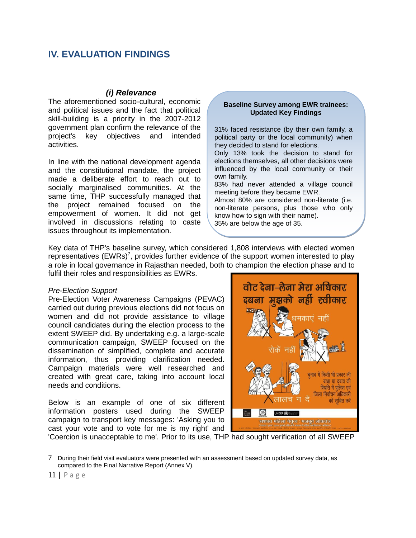## **IV. EVALUATION FINDINGS**

## *(i) Relevance*

The aforementioned socio-cultural, economic and political issues and the fact that political skill-building is a priority in the 2007-2012 government plan confirm the relevance of the project's key objectives and intended activities.

In line with the national development agenda and the constitutional mandate, the project made a deliberate effort to reach out to socially marginalised communities. At the same time, THP successfully managed that the project remained focused on the empowerment of women. It did not get involved in discussions relating to caste issues throughout its implementation.

#### **Baseline Survey among EWR trainees: Updated Key Findings**

31% faced resistance (by their own family, a political party or the local community) when they decided to stand for elections. Only 13% took the decision to stand for

elections themselves, all other decisions were influenced by the local community or their own family.

83% had never attended a village council meeting before they became EWR.

Almost 80% are considered non-literate (i.e. non-literate persons, plus those who only know how to sign with their name). 35% are below the age of 35.

Key data of THP's baseline survey, which considered 1,808 interviews with elected women representatives  $(EWRs)^7$ , provides further evidence of the support women interested to play a role in local governance in Rajasthan needed, both to champion the election phase and to fulfil their roles and responsibilities as EWRs.

### *Pre-Election Support*

Pre-Election Voter Awareness Campaigns (PEVAC) carried out during previous elections did not focus on women and did not provide assistance to village council candidates during the election process to the extent SWEEP did. By undertaking e.g. a large-scale communication campaign, SWEEP focused on the dissemination of simplified, complete and accurate information, thus providing clarification needed. Campaign materials were well researched and created with great care, taking into account local needs and conditions.

Below is an example of one of six different information posters used during the SWEEP campaign to transport key messages: 'Asking you to cast your vote and to vote for me is my right' and



'Coercion is unacceptable to me'. Prior to its use, THP had sought verification of all SWEEP

<sup>7</sup> During their field visit evaluators were presented with an assessment based on updated survey data, as compared to the Final Narrative Report (Annex V).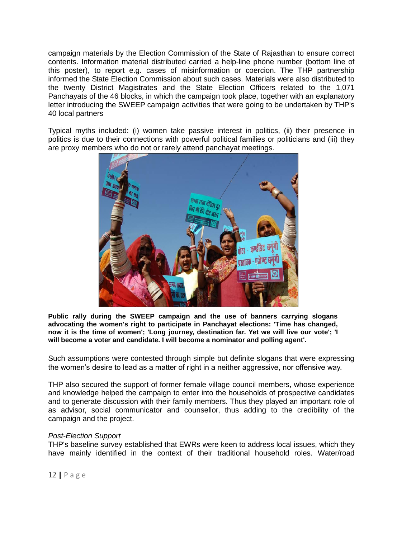campaign materials by the Election Commission of the State of Rajasthan to ensure correct contents. Information material distributed carried a help-line phone number (bottom line of this poster), to report e.g. cases of misinformation or coercion. The THP partnership informed the State Election Commission about such cases. Materials were also distributed to the twenty District Magistrates and the State Election Officers related to the 1,071 Panchayats of the 46 blocks, in which the campaign took place, together with an explanatory letter introducing the SWEEP campaign activities that were going to be undertaken by THP's 40 local partners

Typical myths included: (i) women take passive interest in politics, (ii) their presence in politics is due to their connections with powerful political families or politicians and (iii) they are proxy members who do not or rarely attend panchayat meetings.



**Public rally during the SWEEP campaign and the use of banners carrying slogans advocating the women's right to participate in Panchayat elections: 'Time has changed, now it is the time of women'; 'Long journey, destination far. Yet we will live our vote'; 'I will become a voter and candidate. I will become a nominator and polling agent'.**

Such assumptions were contested through simple but definite slogans that were expressing the women's desire to lead as a matter of right in a neither aggressive, nor offensive way.

THP also secured the support of former female village council members, whose experience and knowledge helped the campaign to enter into the households of prospective candidates and to generate discussion with their family members. Thus they played an important role of as advisor, social communicator and counsellor, thus adding to the credibility of the campaign and the project.

### *Post-Election Support*

THP's baseline survey established that EWRs were keen to address local issues, which they have mainly identified in the context of their traditional household roles. Water/road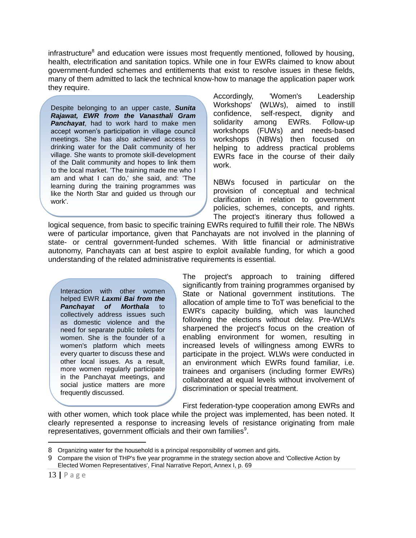infrastructure<sup>8</sup> and education were issues most frequently mentioned, followed by housing, health, electrification and sanitation topics. While one in four EWRs claimed to know about government-funded schemes and entitlements that exist to resolve issues in these fields, many of them admitted to lack the technical know-how to manage the application paper work they require.

Despite belonging to an upper caste, *Sunita Rajawat, EWR from the Vanasthali Gram Panchayat*, had to work hard to make men accept women's participation in village council meetings. She has also achieved access to drinking water for the Dalit community of her village. She wants to promote skill-development of the Dalit community and hopes to link them to the local market. 'The training made me who I am and what I can do,' she said, and: 'The learning during the training programmes was like the North Star and guided us through our work'.

Accordingly, 'Women's Leadership Workshops' (WLWs), aimed to instill confidence, self-respect, dignity and solidarity among EWRs. Follow-up workshops (FUWs) and needs-based workshops (NBWs) then focused on helping to address practical problems EWRs face in the course of their daily work.

NBWs focused in particular on the provision of conceptual and technical clarification in relation to government policies, schemes, concepts, and rights. The project's itinerary thus followed a

logical sequence, from basic to specific training EWRs required to fulfill their role. The NBWs were of particular importance, given that Panchayats are not involved in the planning of state- or central government-funded schemes. With little financial or administrative autonomy, Panchayats can at best aspire to exploit available funding, for which a good understanding of the related administrative requirements is essential.

Interaction with other women helped EWR *Laxmi Bai from the*  **Panchayat of Morthala** to collectively address issues such as domestic violence and the need for separate public toilets for women. She is the founder of a women's platform which meets every quarter to discuss these and other local issues. As a result, more women regularly participate in the Panchayat meetings, and social justice matters are more frequently discussed.

The project's approach to training differed significantly from training programmes organised by State or National government institutions. The allocation of ample time to ToT was beneficial to the EWR's capacity building, which was launched following the elections without delay. Pre-WLWs sharpened the project's focus on the creation of enabling environment for women, resulting in increased levels of willingness among EWRs to participate in the project. WLWs were conducted in an environment which EWRs found familiar, i.e. trainees and organisers (including former EWRs) collaborated at equal levels without involvement of discrimination or special treatment.

First federation-type cooperation among EWRs and

with other women, which took place while the project was implemented, has been noted. It clearly represented a response to increasing levels of resistance originating from male representatives, government officials and their own families<sup>9</sup>.

<sup>8</sup> Organizing water for the household is a principal responsibility of women and girls.

<sup>9</sup> Compare the vision of THP's five year programme in the strategy section above and 'Collective Action by Elected Women Representatives', Final Narrative Report, Annex I, p. 69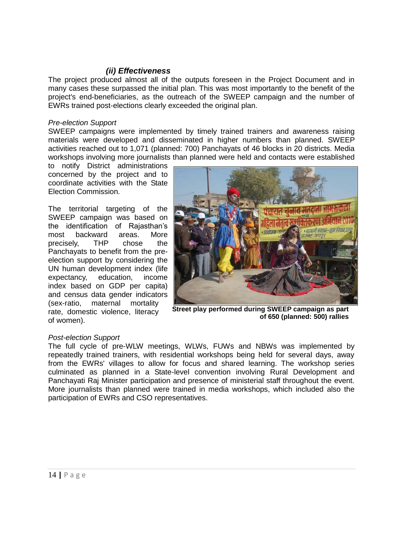## *(ii) Effectiveness*

The project produced almost all of the outputs foreseen in the Project Document and in many cases these surpassed the initial plan. This was most importantly to the benefit of the project's end-beneficiaries, as the outreach of the SWEEP campaign and the number of EWRs trained post-elections clearly exceeded the original plan.

## *Pre-election Support*

SWEEP campaigns were implemented by timely trained trainers and awareness raising materials were developed and disseminated in higher numbers than planned. SWEEP activities reached out to 1,071 (planned: 700) Panchayats of 46 blocks in 20 districts. Media workshops involving more journalists than planned were held and contacts were established

to notify District administrations concerned by the project and to coordinate activities with the State Election Commission.

The territorial targeting of the SWEEP campaign was based on the identification of Rajasthan's most backward areas. More precisely, THP chose the Panchayats to benefit from the preelection support by considering the UN human development index (life expectancy, education, income index based on GDP per capita) and census data gender indicators (sex-ratio, maternal mortality rate, domestic violence, literacy of women).



**Street play performed during SWEEP campaign as part of 650 (planned: 500) rallies**

### *Post-election Support*

The full cycle of pre-WLW meetings, WLWs, FUWs and NBWs was implemented by repeatedly trained trainers, with residential workshops being held for several days, away from the EWRs' villages to allow for focus and shared learning. The workshop series culminated as planned in a State-level convention involving Rural Development and Panchayati Raj Minister participation and presence of ministerial staff throughout the event. More journalists than planned were trained in media workshops, which included also the participation of EWRs and CSO representatives.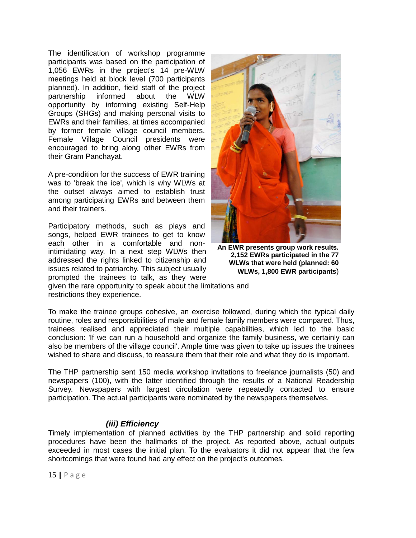The identification of workshop programme participants was based on the participation of 1,056 EWRs in the project's 14 pre-WLW meetings held at block level (700 participants planned). In addition, field staff of the project partnership informed about the WLW opportunity by informing existing Self-Help Groups (SHGs) and making personal visits to EWRs and their families, at times accompanied by former female village council members. Female Village Council presidents were encouraged to bring along other EWRs from their Gram Panchayat.

A pre-condition for the success of EWR training was to 'break the ice', which is why WLWs at the outset always aimed to establish trust among participating EWRs and between them and their trainers.

Participatory methods, such as plays and songs, helped EWR trainees to get to know each other in a comfortable and nonintimidating way. In a next step WLWs then addressed the rights linked to citizenship and issues related to patriarchy. This subject usually prompted the trainees to talk, as they were



**An EWR presents group work results. 2,152 EWRs participated in the 77 WLWs that were held (planned: 60 WLWs, 1,800 EWR participants**)

given the rare opportunity to speak about the limitations and restrictions they experience.

To make the trainee groups cohesive, an exercise followed, during which the typical daily routine, roles and responsibilities of male and female family members were compared. Thus, trainees realised and appreciated their multiple capabilities, which led to the basic conclusion: 'If we can run a household and organize the family business, we certainly can also be members of the village council'. Ample time was given to take up issues the trainees wished to share and discuss, to reassure them that their role and what they do is important.

The THP partnership sent 150 media workshop invitations to freelance journalists (50) and newspapers (100), with the latter identified through the results of a National Readership Survey. Newspapers with largest circulation were repeatedly contacted to ensure participation. The actual participants were nominated by the newspapers themselves.

## *(iii) Efficiency*

Timely implementation of planned activities by the THP partnership and solid reporting procedures have been the hallmarks of the project. As reported above, actual outputs exceeded in most cases the initial plan. To the evaluators it did not appear that the few shortcomings that were found had any effect on the project's outcomes.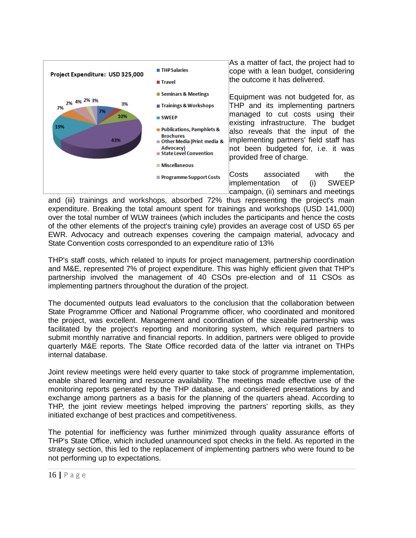

As a matter of fact, the project had to cope with a lean budget, considering the outcome it has delivered.

Equipment was not budgeted for, as THP and its implementing partners managed to cut costs using their existing infrastructure. The budget also reveals that the input of the implementing partners' field staff has not been budgeted for, i.e. it was provided free of charge.

Costs associated with the implementation of (i) SWEEP campaign, (ii) seminars and meetings

and (iii) trainings and workshops, absorbed 72% thus representing the project's main expenditure. Breaking the total amount spent for trainings and workshops (USD 141,000) over the total number of WLW trainees (which includes the participants and hence the costs of the other elements of the project's training cyle) provides an average cost of USD 65 per EWR. Advocacy and outreach expenses covering the campaign material, advocacy and State Convention costs corresponded to an expenditure ratio of 13%

THP's staff costs, which related to inputs for project management, partnership coordination and M&E, represented 7% of project expenditure. This was highly efficient given that THP's partnership involved the management of 40 CSOs pre-election and of 11 CSOs as implementing partners throughout the duration of the project.

The documented outputs lead evaluators to the conclusion that the collaboration between State Programme Officer and National Programme officer, who coordinated and monitored the project, was excellent. Management and coordination of the sizeable partnership was facilitated by the project's reporting and monitoring system, which required partners to submit monthly narrative and financial reports. In addition, partners were obliged to provide quarterly M&E reports. The State Office recorded data of the latter via intranet on THPs internal database.

Joint review meetings were held every quarter to take stock of programme implementation, enable shared learning and resource availability. The meetings made effective use of the monitoring reports generated by the THP database, and considered presentations by and exchange among partners as a basis for the planning of the quarters ahead. According to THP, the joint review meetings helped improving the partners' reporting skills, as they initiated exchange of best practices and competitiveness.

The potential for inefficiency was further minimized through quality assurance efforts of THP's State Office, which included unannounced spot checks in the field. As reported in the strategy section, this led to the replacement of implementing partners who were found to be not performing up to expectations.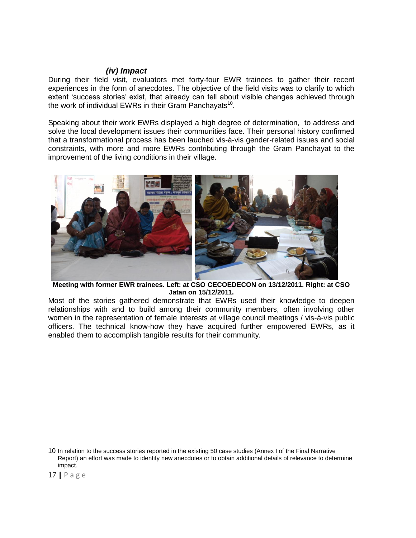## *(iv) Impact*

During their field visit, evaluators met forty-four EWR trainees to gather their recent experiences in the form of anecdotes. The objective of the field visits was to clarify to which extent 'success stories' exist, that already can tell about visible changes achieved through the work of individual EWRs in their Gram Panchayats<sup>10</sup>.

Speaking about their work EWRs displayed a high degree of determination, to address and solve the local development issues their communities face. Their personal history confirmed that a transformational process has been lauched vis-à-vis gender-related issues and social constraints, with more and more EWRs contributing through the Gram Panchayat to the improvement of the living conditions in their village.



**Meeting with former EWR trainees. Left: at CSO CECOEDECON on 13/12/2011. Right: at CSO Jatan on 15/12/2011.** 

Most of the stories gathered demonstrate that EWRs used their knowledge to deepen relationships with and to build among their community members, often involving other women in the representation of female interests at village council meetings / vis-à-vis public officers. The technical know-how they have acquired further empowered EWRs, as it enabled them to accomplish tangible results for their community.

<sup>10</sup> In relation to the success stories reported in the existing 50 case studies (Annex I of the Final Narrative Report) an effort was made to identify new anecdotes or to obtain additional details of relevance to determine impact.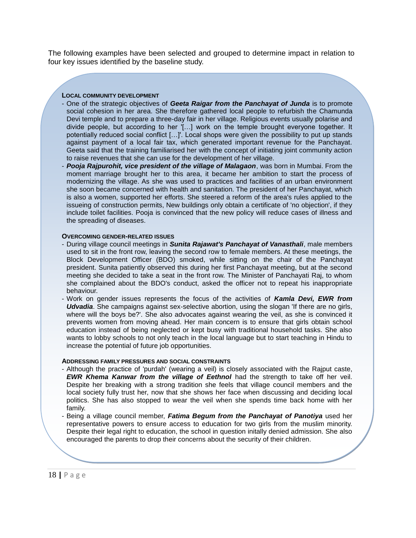The following examples have been selected and grouped to determine impact in relation to four key issues identified by the baseline study.

#### **LOCAL COMMUNITY DEVELOPMENT**

- One of the strategic objectives of *Geeta Raigar from the Panchayat of Junda* is to promote social cohesion in her area. She therefore gathered local people to refurbish the Chamunda Devi temple and to prepare a three-day fair in her village. Religious events usually polarise and divide people, but according to her [...] work on the temple brought everyone together. It potentially reduced social conflict [...]'. Local shops were given the possibility to put up stands against payment of a local fair tax, which generated important revenue for the Panchayat. Geeta said that the training familiarised her with the concept of initiating joint community action to raise revenues that she can use for the development of her village.
- Pooja Rajpurohit, vice president of the village of Malagaon, was born in Mumbai. From the moment marriage brought her to this area, it became her ambition to start the process of modernizing the village. As she was used to practices and facilities of an urban environment she soon became concerned with health and sanitation. The president of her Panchayat, which is also a women, supported her efforts. She steered a reform of the area's rules applied to the issueing of construction permits, New buildings only obtain a certificate of 'no objection', if they include toilet facilities. Pooja is convinced that the new policy will reduce cases of illness and the spreading of diseases.

#### **OVERCOMING GENDER-RELATED ISSUES**

- During village council meetings in *Sunita Rajawat's Panchayat of Vanasthali*, male members used to sit in the front row, leaving the second row to female members. At these meetings, the Block Development Officer (BDO) smoked, while sitting on the chair of the Panchayat president. Sunita patiently observed this during her first Panchayat meeting, but at the second meeting she decided to take a seat in the front row. The Minister of Panchayati Raj, to whom she complained about the BDO's conduct, asked the officer not to repeat his inappropriate behaviour.
- Work on gender issues represents the focus of the activities of *Kamla Devi, EWR from Udvadia*. She campaigns against sex-selective abortion, using the slogan 'If there are no girls, where will the boys be?'. She also advocates against wearing the veil, as she is convinced it prevents women from moving ahead. Her main concern is to ensure that girls obtain school education instead of being neglected or kept busy with traditional household tasks. She also wants to lobby schools to not only teach in the local language but to start teaching in Hindu to increase the potential of future job opportunities.

#### **ADDRESSING FAMILY PRESSURES AND SOCIAL CONSTRAINTS**

- Although the practice of 'purdah' (wearing a veil) is closely associated with the Rajput caste, *EWR Khema Kanwar from the village of Eethnol had the strength to take off her veil.* Despite her breaking with a strong tradition she feels that village council members and the local society fully trust her, now that she shows her face when discussing and deciding local politics. She has also stopped to wear the veil when she spends time back home with her family.
- Being a village council member, *Fatima Begum from the Panchayat of Panotiya* used her representative powers to ensure access to education for two girls from the muslim minority. Despite their legal right to education, the school in question initally denied admission. She also encouraged the parents to drop their concerns about the security of their children.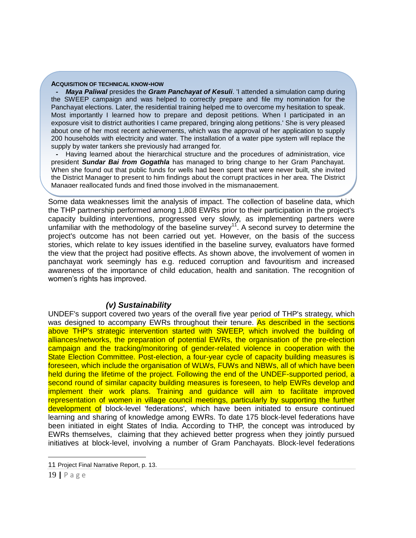#### **ACQUISITION OF TECHNICAL KNOW-HOW**

*Maya Paliwal* presides the *Gram Panchayat of Kesuli*. 'I attended a simulation camp during the SWEEP campaign and was helped to correctly prepare and file my nomination for the Panchayat elections. Later, the residential training helped me to overcome my hesitation to speak. Most importantly I learned how to prepare and deposit petitions. When I participated in an exposure visit to district authorities I came prepared, bringing along petitions.' She is very pleased about one of her most recent achievements, which was the approval of her application to supply 200 households with electricity and water. The installation of a water pipe system will replace the supply by water tankers she previously had arranged for.

*-* Having learned about the hierarchical structure and the procedures of administration, vice president *Sundar Bai from Gogathla* has managed to bring change to her Gram Panchayat. When she found out that public funds for wells had been spent that were never built, she invited the District Manager to present to him findings about the corrupt practices in her area. The District Manager reallocated funds and fined those involved in the mismanagement.

Some data weaknesses limit the analysis of impact. The collection of baseline data, which the THP partnership performed among 1,808 EWRs prior to their participation in the project's capacity building interventions, progressed very slowly, as implementing partners were unfamiliar with the methodology of the baseline survey<sup>11</sup>. A second survey to determine the project's outcome has not been carried out yet. However, on the basis of the success stories, which relate to key issues identified in the baseline survey, evaluators have formed the view that the project had positive effects. As shown above, the involvement of women in panchayat work seemingly has e.g. reduced corruption and favouritism and increased awareness of the importance of child education, health and sanitation. The recognition of women's rights has improved.

## *(v) Sustainability*

UNDEF's support covered two years of the overall five year period of THP's strategy, which was designed to accompany EWRs throughout their tenure. As described in the sections above THP's strategic intervention started with SWEEP, which involved the building of alliances/networks, the preparation of potential EWRs, the organisation of the pre-election campaign and the tracking/monitoring of gender-related violence in cooperation with the State Election Committee. Post-election, a four-year cycle of capacity building measures is foreseen, which include the organisation of WLWs, FUWs and NBWs, all of which have been held during the lifetime of the project. Following the end of the UNDEF-supported period, a second round of similar capacity building measures is foreseen, to help EWRs develop and implement their work plans. Training and guidance will aim to facilitate improved representation of women in village council meetings, particularly by supporting the further development of block-level 'federations', which have been initiated to ensure continued learning and sharing of knowledge among EWRs. To date 175 block-level federations have been initiated in eight States of India. According to THP, the concept was introduced by EWRs themselves, claiming that they achieved better progress when they jointly pursued initiatives at block-level, involving a number of Gram Panchayats. Block-level federations

<sup>11</sup> Project Final Narrative Report, p. 13.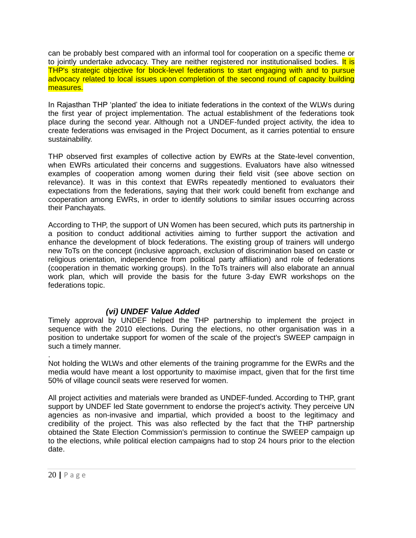can be probably best compared with an informal tool for cooperation on a specific theme or to jointly undertake advocacy. They are neither registered nor institutionalised bodies. It is THP's strategic objective for block-level federations to start engaging with and to pursue advocacy related to local issues upon completion of the second round of capacity building measures.

In Rajasthan THP 'planted' the idea to initiate federations in the context of the WLWs during the first year of project implementation. The actual establishment of the federations took place during the second year. Although not a UNDEF-funded project activity, the idea to create federations was envisaged in the Project Document, as it carries potential to ensure sustainability.

THP observed first examples of collective action by EWRs at the State-level convention, when EWRs articulated their concerns and suggestions. Evaluators have also witnessed examples of cooperation among women during their field visit (see above section on relevance). It was in this context that EWRs repeatedly mentioned to evaluators their expectations from the federations, saying that their work could benefit from exchange and cooperation among EWRs, in order to identify solutions to similar issues occurring across their Panchayats.

According to THP, the support of UN Women has been secured, which puts its partnership in a position to conduct additional activities aiming to further support the activation and enhance the development of block federations. The existing group of trainers will undergo new ToTs on the concept (inclusive approach, exclusion of discrimination based on caste or religious orientation, independence from political party affiliation) and role of federations (cooperation in thematic working groups). In the ToTs trainers will also elaborate an annual work plan, which will provide the basis for the future 3-day EWR workshops on the federations topic.

## *(vi) UNDEF Value Added*

Timely approval by UNDEF helped the THP partnership to implement the project in sequence with the 2010 elections. During the elections, no other organisation was in a position to undertake support for women of the scale of the project's SWEEP campaign in such a timely manner.

. Not holding the WLWs and other elements of the training programme for the EWRs and the media would have meant a lost opportunity to maximise impact, given that for the first time 50% of village council seats were reserved for women.

All project activities and materials were branded as UNDEF-funded. According to THP, grant support by UNDEF led State government to endorse the project's activity. They perceive UN agencies as non-invasive and impartial, which provided a boost to the legitimacy and credibility of the project. This was also reflected by the fact that the THP partnership obtained the State Election Commission's permission to continue the SWEEP campaign up to the elections, while political election campaigns had to stop 24 hours prior to the election date.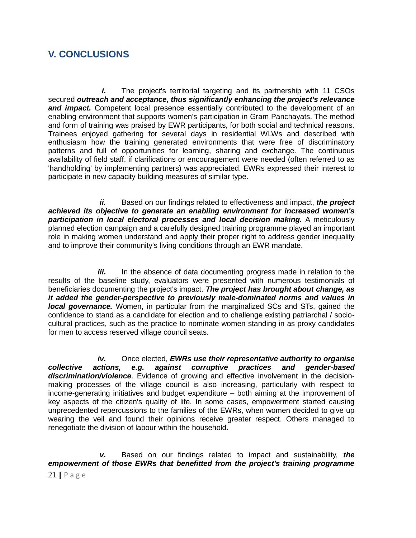## **V. CONCLUSIONS**

*i.* The project's territorial targeting and its partnership with 11 CSOs secured *outreach and acceptance, thus significantly enhancing the project's relevance and impact.* Competent local presence essentially contributed to the development of an enabling environment that supports women's participation in Gram Panchayats. The method and form of training was praised by EWR participants, for both social and technical reasons. Trainees enjoyed gathering for several days in residential WLWs and described with enthusiasm how the training generated environments that were free of discriminatory patterns and full of opportunities for learning, sharing and exchange. The continuous availability of field staff, if clarifications or encouragement were needed (often referred to as 'handholding' by implementing partners) was appreciated. EWRs expressed their interest to participate in new capacity building measures of similar type.

*ii.* Based on our findings related to effectiveness and impact, *the project achieved its objective to generate an enabling environment for increased women's participation in local electoral processes and local decision making.* A meticulously planned election campaign and a carefully designed training programme played an important role in making women understand and apply their proper right to address gender inequality and to improve their community's living conditions through an EWR mandate.

*iii.* In the absence of data documenting progress made in relation to the results of the baseline study, evaluators were presented with numerous testimonials of beneficiaries documenting the project's impact. *The project has brought about change, as it added the gender-perspective to previously male-dominated norms and values in local governance.* Women, in particular from the marginalized SCs and STs, gained the confidence to stand as a candidate for election and to challenge existing patriarchal / sociocultural practices, such as the practice to nominate women standing in as proxy candidates for men to access reserved village council seats.

*iv.* Once elected, *EWRs use their representative authority to organise collective actions, e.g. against corruptive practices and gender-based discrimination/violence*. Evidence of growing and effective involvement in the decisionmaking processes of the village council is also increasing, particularly with respect to income-generating initiatives and budget expenditure – both aiming at the improvement of key aspects of the citizen's quality of life. In some cases, empowerment started causing unprecedented repercussions to the families of the EWRs, when women decided to give up wearing the veil and found their opinions receive greater respect. Others managed to renegotiate the division of labour within the household.

*v.* Based on our findings related to impact and sustainability, *the empowerment of those EWRs that benefitted from the project's training programme*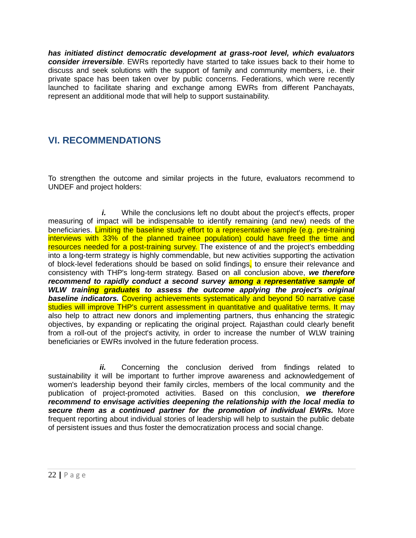*has initiated distinct democratic development at grass-root level, which evaluators consider irreversible*. EWRs reportedly have started to take issues back to their home to discuss and seek solutions with the support of family and community members, i.e. their private space has been taken over by public concerns. Federations, which were recently launched to facilitate sharing and exchange among EWRs from different Panchayats, represent an additional mode that will help to support sustainability.

## **VI. RECOMMENDATIONS**

To strengthen the outcome and similar projects in the future, evaluators recommend to UNDEF and project holders:

*i.* While the conclusions left no doubt about the project's effects, proper measuring of impact will be indispensable to identify remaining (and new) needs of the beneficiaries. Limiting the baseline study effort to a representative sample (e.g. pre-training interviews with 33% of the planned trainee population) could have freed the time and resources needed for a post-training survey. The existence of and the project's embedding into a long-term strategy is highly commendable, but new activities supporting the activation of block-level federations should be based on solid findings, to ensure their relevance and consistency with THP's long-term strategy. Based on all conclusion above, *we therefore recommend to rapidly conduct a second survey among a representative sample of WLW training graduates to assess the outcome applying the project's original baseline indicators.* Covering achievements systematically and beyond 50 narrative case studies will improve THP's current assessment in quantitative and qualitative terms. It may also help to attract new donors and implementing partners, thus enhancing the strategic objectives, by expanding or replicating the original project. Rajasthan could clearly benefit from a roll-out of the project's activity, in order to increase the number of WLW training beneficiaries or EWRs involved in the future federation process.

*ii.* Concerning the conclusion derived from findings related to sustainability it will be important to further improve awareness and acknowledgement of women's leadership beyond their family circles, members of the local community and the publication of project-promoted activities. Based on this conclusion, *we therefore recommend to envisage activities deepening the relationship with the local media to secure them as a continued partner for the promotion of individual EWRs.* More frequent reporting about individual stories of leadership will help to sustain the public debate of persistent issues and thus foster the democratization process and social change.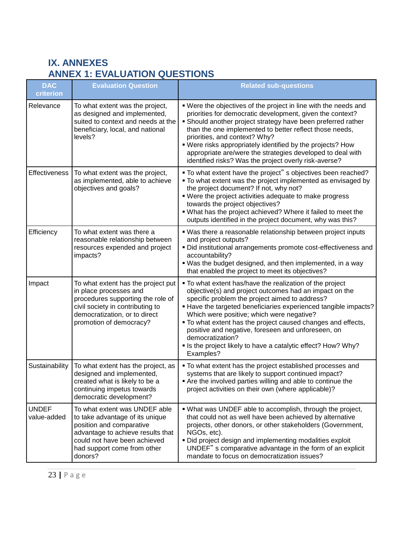# **IX. ANNEXES ANNEX 1: EVALUATION QUESTIONS**

| <b>DAC</b><br>criterion     | <b>Evaluation Question</b>                                                                                                                                                                                  | <b>Related sub-questions</b>                                                                                                                                                                                                                                                                                                                                                                                                                                                                                 |
|-----------------------------|-------------------------------------------------------------------------------------------------------------------------------------------------------------------------------------------------------------|--------------------------------------------------------------------------------------------------------------------------------------------------------------------------------------------------------------------------------------------------------------------------------------------------------------------------------------------------------------------------------------------------------------------------------------------------------------------------------------------------------------|
| Relevance                   | To what extent was the project,<br>as designed and implemented,<br>suited to context and needs at the<br>beneficiary, local, and national<br>levels?                                                        | . Were the objectives of the project in line with the needs and<br>priorities for democratic development, given the context?<br>• Should another project strategy have been preferred rather<br>than the one implemented to better reflect those needs,<br>priorities, and context? Why?<br>. Were risks appropriately identified by the projects? How<br>appropriate are/were the strategies developed to deal with<br>identified risks? Was the project overly risk-averse?                                |
| Effectiveness               | To what extent was the project,<br>as implemented, able to achieve<br>objectives and goals?                                                                                                                 | . To what extent have the project" s objectives been reached?<br>. To what extent was the project implemented as envisaged by<br>the project document? If not, why not?<br>. Were the project activities adequate to make progress<br>towards the project objectives?<br>. What has the project achieved? Where it failed to meet the<br>outputs identified in the project document, why was this?                                                                                                           |
| Efficiency                  | To what extent was there a<br>reasonable relationship between<br>resources expended and project<br>impacts?                                                                                                 | . Was there a reasonable relationship between project inputs<br>and project outputs?<br>· Did institutional arrangements promote cost-effectiveness and<br>accountability?<br>. Was the budget designed, and then implemented, in a way<br>that enabled the project to meet its objectives?                                                                                                                                                                                                                  |
| Impact                      | To what extent has the project put<br>in place processes and<br>procedures supporting the role of<br>civil society in contributing to<br>democratization, or to direct<br>promotion of democracy?           | . To what extent has/have the realization of the project<br>objective(s) and project outcomes had an impact on the<br>specific problem the project aimed to address?<br>■ Have the targeted beneficiaries experienced tangible impacts?<br>Which were positive; which were negative?<br>. To what extent has the project caused changes and effects,<br>positive and negative, foreseen and unforeseen, on<br>democratization?<br>• Is the project likely to have a catalytic effect? How? Why?<br>Examples? |
| Sustainability              | To what extent has the project, as<br>designed and implemented,<br>created what is likely to be a<br>continuing impetus towards<br>democratic development?                                                  | • To what extent has the project established processes and<br>systems that are likely to support continued impact?<br>Are the involved parties willing and able to continue the<br>project activities on their own (where applicable)?                                                                                                                                                                                                                                                                       |
| <b>UNDEF</b><br>value-added | To what extent was UNDEF able<br>to take advantage of its unique<br>position and comparative<br>advantage to achieve results that<br>could not have been achieved<br>had support come from other<br>donors? | . What was UNDEF able to accomplish, through the project,<br>that could not as well have been achieved by alternative<br>projects, other donors, or other stakeholders (Government,<br>NGOs, etc).<br>. Did project design and implementing modalities exploit<br>UNDEF" s comparative advantage in the form of an explicit<br>mandate to focus on democratization issues?                                                                                                                                   |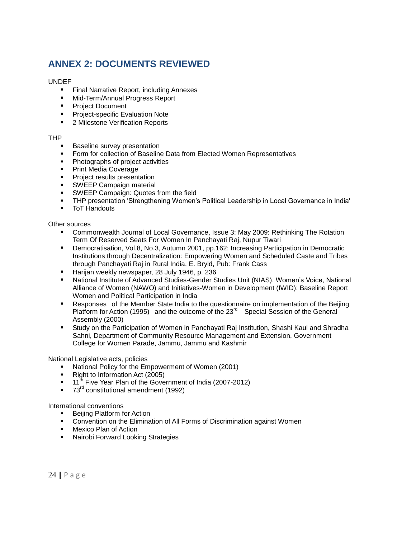# **ANNEX 2: DOCUMENTS REVIEWED**

#### UNDEF

- **Final Narrative Report, including Annexes**
- **Mid-Term/Annual Progress Report**
- **Project Document**
- **Project-specific Evaluation Note**
- 2 Milestone Verification Reports

### THP

- Baseline survey presentation
- Form for collection of Baseline Data from Elected Women Representatives
- Photographs of project activities
- Print Media Coverage
- **Project results presentation**
- SWEEP Campaign material
- **SWEEP Campaign: Quotes from the field**
- THP presentation 'Strengthening Women's Political Leadership in Local Governance in India'
- **ToT Handouts**

Other sources

- Commonwealth Journal of Local Governance, Issue 3: May 2009: Rethinking The Rotation Term Of Reserved Seats For Women In Panchayati Raj, Nupur Tiwari
- Democratisation, Vol.8, No.3, Autumn 2001, pp.162: Increasing Participation in Democratic Institutions through Decentralization: Empowering Women and Scheduled Caste and Tribes through Panchayati Raj in Rural India, E. Bryld, Pub: Frank Cass
- Harijan weekly newspaper, 28 July 1946, p. 236
- National Institute of Advanced Studies-Gender Studies Unit (NIAS), Women's Voice, National Alliance of Women (NAWO) and Initiatives-Women in Development (IWID): Baseline Report Women and Political Participation in India
- Responses of the Member State India to the questionnaire on implementation of the Beijing Platform for Action (1995) and the outcome of the 23<sup>rd</sup> Special Session of the General Assembly (2000)
- Study on the Participation of Women in Panchayati Raj Institution, Shashi Kaul and Shradha Sahni, Department of Community Resource Management and Extension, Government College for Women Parade, Jammu, Jammu and Kashmir

National Legislative acts, policies

- National Policy for the Empowerment of Women (2001)
- Right to Information Act (2005)
- $\blacksquare$  11<sup>th</sup> Five Year Plan of the Government of India (2007-2012)
- 73<sup>rd</sup> constitutional amendment (1992)

International conventions

- Beijing Platform for Action
- Convention on the Elimination of All Forms of Discrimination against Women
- Mexico Plan of Action
- **Nairobi Forward Looking Strategies**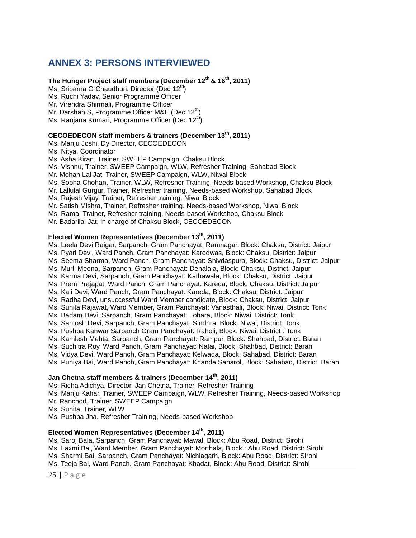## **ANNEX 3: PERSONS INTERVIEWED**

## **The Hunger Project staff members (December 12th & 16th, 2011)**

Ms. Sriparna G Chaudhuri, Director (Dec  $12<sup>th</sup>$ ) Ms. Ruchi Yadav, Senior Programme Officer Mr. Virendra Shirmali, Programme Officer Mr. Darshan S, Programme Officer M&E (Dec 12<sup>th</sup>) Ms. Ranjana Kumari, Programme Officer (Dec 12<sup>th</sup>)

## **CECOEDECON staff members & trainers (December 13th, 2011)**

Ms. Manju Joshi, Dy Director, CECOEDECON Ms. Nitya, Coordinator Ms. Asha Kiran, Trainer, SWEEP Campaign, Chaksu Block Ms. Vishnu, Trainer, SWEEP Campaign, WLW, Refresher Training, Sahabad Block Mr. Mohan Lal Jat, Trainer, SWEEP Campaign, WLW, Niwai Block Ms. Sobha Chohan, Trainer, WLW, Refresher Training, Needs-based Workshop, Chaksu Block Mr. Lallulal Gurgur, Trainer, Refresher training, Needs-based Workshop, Sahabad Block Ms. Rajesh Vijay, Trainer, Refresher training, Niwai Block Mr. Satish Mishra, Trainer, Refresher training, Needs-based Workshop, Niwai Block Ms. Rama, Trainer, Refresher training, Needs-based Workshop, Chaksu Block Mr. Badarilal Jat, in charge of Chaksu Block, CECOEDECON

## **Elected Women Representatives (December 13th, 2011)**

Ms. Leela Devi Raigar, Sarpanch, Gram Panchayat: Ramnagar, Block: Chaksu, District: Jaipur Ms. Pyari Devi, Ward Panch, Gram Panchayat: Karodwas, Block: Chaksu, District: Jaipur Ms. Seema Sharma, Ward Panch, Gram Panchayat: Shivdaspura, Block: Chaksu, District: Jaipur Ms. Murli Meena, Sarpanch, Gram Panchayat: Dehalala, Block: Chaksu, District: Jaipur Ms. Karma Devi, Sarpanch, Gram Panchayat: Kathawala, Block: Chaksu, District: Jaipur Ms. Prem Prajapat, Ward Panch, Gram Panchayat: Kareda, Block: Chaksu, District: Jaipur Ms. Kali Devi, Ward Panch, Gram Panchayat: Kareda, Block: Chaksu, District: Jaipur Ms. Radha Devi, unsuccessful Ward Member candidate, Block: Chaksu, District: Jaipur Ms. Sunita Rajawat, Ward Member, Gram Panchayat: Vanasthali, Block: Niwai, District: Tonk Ms. Badam Devi, Sarpanch, Gram Panchayat: Lohara, Block: Niwai, District: Tonk Ms. Santosh Devi, Sarpanch, Gram Panchayat: Sindhra, Block: Niwai, District: Tonk Ms. Pushpa Kanwar Sarpanch Gram Panchayat: Raholi, Block: Niwai, District : Tonk Ms. Kamlesh Mehta, Sarpanch, Gram Panchayat: Rampur, Block: Shahbad, District: Baran Ms. Suchitra Roy, Ward Panch, Gram Panchayat: Natai, Block: Shahbad, District: Baran Ms. Vidya Devi, Ward Panch, Gram Panchayat: Kelwada, Block: Sahabad, District: Baran Ms. Puniya Bai, Ward Panch, Gram Panchayat: Khanda Saharol, Block: Sahabad, District: Baran

## **Jan Chetna staff members & trainers (December 14th, 2011)**

Ms. Richa Adichya, Director, Jan Chetna, Trainer, Refresher Training Ms. Manju Kahar, Trainer, SWEEP Campaign, WLW, Refresher Training, Needs-based Workshop Mr. Ranchod, Trainer, SWEEP Campaign Ms. Sunita, Trainer, WLW Ms. Pushpa Jha, Refresher Training, Needs-based Workshop

### **Elected Women Representatives (December 14th, 2011)**

Ms. Saroj Bala, Sarpanch, Gram Panchayat: Mawal, Block: Abu Road, District: Sirohi Ms. Laxmi Bai, Ward Member, Gram Panchayat: Morthala, Block : Abu Road, District: Sirohi Ms. Sharmi Bai, Sarpanch, Gram Panchayat: Nichlagarh, Block: Abu Road, District: Sirohi Ms. Teeja Bai, Ward Panch, Gram Panchayat: Khadat, Block: Abu Road, District: Sirohi

25 **|** P a g e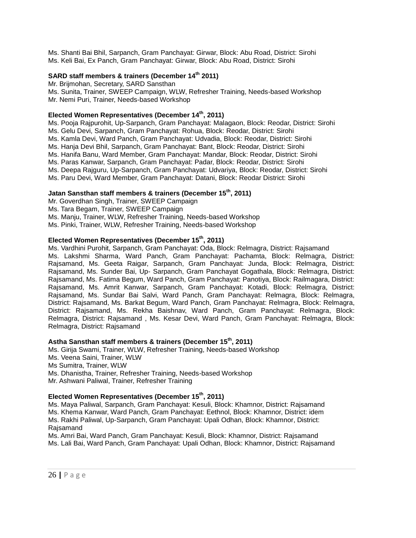Ms. Shanti Bai Bhil, Sarpanch, Gram Panchayat: Girwar, Block: Abu Road, District: Sirohi Ms. Keli Bai, Ex Panch, Gram Panchayat: Girwar, Block: Abu Road, District: Sirohi

## **SARD staff members & trainers (December 14th 2011)**

Mr. Brijmohan, Secretary, SARD Sansthan Ms. Sunita, Trainer, SWEEP Campaign, WLW, Refresher Training, Needs-based Workshop Mr. Nemi Puri, Trainer, Needs-based Workshop

### **Elected Women Representatives (December 14th, 2011)**

Ms. Pooja Rajpurohit, Up-Sarpanch, Gram Panchayat: Malagaon, Block: Reodar, District: Sirohi Ms. Gelu Devi, Sarpanch, Gram Panchayat: Rohua, Block: Reodar, District: Sirohi Ms. Kamla Devi, Ward Panch, Gram Panchayat: Udvadia, Block: Reodar, District: Sirohi Ms. Hanja Devi Bhil, Sarpanch, Gram Panchayat: Bant, Block: Reodar, District: Sirohi Ms. Hanifa Banu, Ward Member, Gram Panchayat: Mandar, Block: Reodar, District: Sirohi Ms. Paras Kanwar, Sarpanch, Gram Panchayat: Padar, Block: Reodar, District: Sirohi Ms. Deepa Rajguru, Up-Sarpanch, Gram Panchayat: Udvariya, Block: Reodar, District: Sirohi Ms. Paru Devi, Ward Member, Gram Panchayat: Datani, Block: Reodar District: Sirohi

#### **Jatan Sansthan staff members & trainers (December 15th, 2011)**

Mr. Goverdhan Singh, Trainer, SWEEP Campaign Ms. Tara Begam, Trainer, SWEEP Campaign Ms. Manju, Trainer, WLW, Refresher Training, Needs-based Workshop Ms. Pinki, Trainer, WLW, Refresher Training, Needs-based Workshop

## **Elected Women Representatives (December 15th, 2011)**

Ms. Vardhini Purohit, Sarpanch, Gram Panchayat: Oda, Block: Relmagra, District: Rajsamand Ms. Lakshmi Sharma, Ward Panch, Gram Panchayat: Pachamta, Block: Relmagra, District: Rajsamand, Ms. Geeta Raigar, Sarpanch, Gram Panchayat: Junda, Block: Relmagra, District: Rajsamand, Ms. Sunder Bai, Up- Sarpanch, Gram Panchayat Gogathala, Block: Relmagra, District: Rajsamand, Ms. Fatima Begum, Ward Panch, Gram Panchayat: Panotiya, Block: Railmagara, District: Rajsamand, Ms. Amrit Kanwar, Sarpanch, Gram Panchayat: Kotadi, Block: Relmagra, District: Rajsamand, Ms. Sundar Bai Salvi, Ward Panch, Gram Panchayat: Relmagra, Block: Relmagra, District: Rajsamand, Ms. Barkat Begum, Ward Panch, Gram Panchayat: Relmagra, Block: Relmagra, District: Rajsamand, Ms. Rekha Baishnav, Ward Panch, Gram Panchayat: Relmagra, Block: Relmagra, District: Rajsamand , Ms. Kesar Devi, Ward Panch, Gram Panchayat: Relmagra, Block: Relmagra, District: Rajsamand

## **Astha Sansthan staff members & trainers (December 15th, 2011)**

Ms. Girija Swami, Trainer, WLW, Refresher Training, Needs-based Workshop Ms. Veena Saini, Trainer, WLW Ms Sumitra, Trainer, WLW Ms. Dhanistha, Trainer, Refresher Training, Needs-based Workshop Mr. Ashwani Paliwal, Trainer, Refresher Training

### **Elected Women Representatives (December 15th , 2011)**

Ms. Maya Paliwal, Sarpanch, Gram Panchayat: Kesuli, Block: Khamnor, District: Rajsamand Ms. Khema Kanwar, Ward Panch, Gram Panchayat: Eethnol, Block: Khamnor, District: idem Ms. Rakhi Paliwal, Up-Sarpanch, Gram Panchayat: Upali Odhan, Block: Khamnor, District: Rajsamand

Ms. Amri Bai, Ward Panch, Gram Panchayat: Kesuli, Block: Khamnor, District: Rajsamand Ms. Lali Bai, Ward Panch, Gram Panchayat: Upali Odhan, Block: Khamnor, District: Rajsamand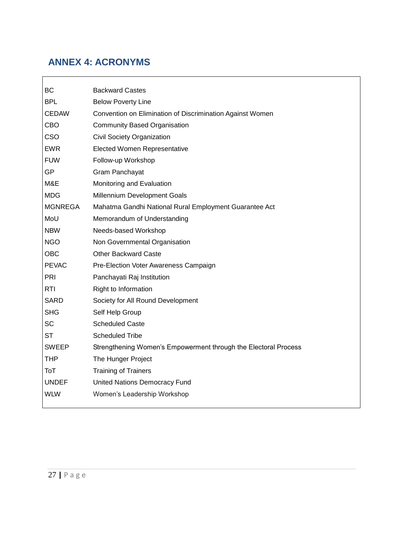# **ANNEX 4: ACRONYMS**

| BC             | <b>Backward Castes</b>                                          |
|----------------|-----------------------------------------------------------------|
| <b>BPL</b>     | <b>Below Poverty Line</b>                                       |
| <b>CEDAW</b>   | Convention on Elimination of Discrimination Against Women       |
| CBO            | <b>Community Based Organisation</b>                             |
| CSO            | Civil Society Organization                                      |
| <b>EWR</b>     | <b>Elected Women Representative</b>                             |
| <b>FUW</b>     | Follow-up Workshop                                              |
| <b>GP</b>      | Gram Panchayat                                                  |
| M&E            | Monitoring and Evaluation                                       |
| <b>MDG</b>     | Millennium Development Goals                                    |
| <b>MGNREGA</b> | Mahatma Gandhi National Rural Employment Guarantee Act          |
| MoU            | Memorandum of Understanding                                     |
| <b>NBW</b>     | Needs-based Workshop                                            |
| <b>NGO</b>     | Non Governmental Organisation                                   |
| <b>OBC</b>     | <b>Other Backward Caste</b>                                     |
| <b>PEVAC</b>   | Pre-Election Voter Awareness Campaign                           |
| PRI            | Panchayati Raj Institution                                      |
| <b>RTI</b>     | Right to Information                                            |
| <b>SARD</b>    | Society for All Round Development                               |
| <b>SHG</b>     | Self Help Group                                                 |
| <b>SC</b>      | <b>Scheduled Caste</b>                                          |
| <b>ST</b>      | <b>Scheduled Tribe</b>                                          |
| <b>SWEEP</b>   | Strengthening Women's Empowerment through the Electoral Process |
| <b>THP</b>     | The Hunger Project                                              |
| ToT            | <b>Training of Trainers</b>                                     |
| <b>UNDEF</b>   | United Nations Democracy Fund                                   |
| <b>WLW</b>     | Women's Leadership Workshop                                     |
|                |                                                                 |